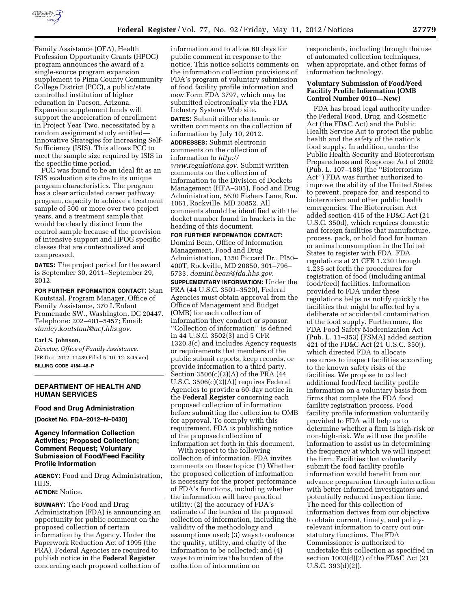

Family Assistance (OFA), Health Profession Opportunity Grants (HPOG) program announces the award of a single-source program expansion supplement to Pima County Community College District (PCC), a public/state controlled institution of higher education in Tucson, Arizona. Expansion supplement funds will support the acceleration of enrollment in Project Year Two, necessitated by a random assignment study entitled— Innovative Strategies for Increasing Self-Sufficiency (ISIS). This allows PCC to meet the sample size required by ISIS in the specific time period.

PCC was found to be an ideal fit as an ISIS evaluation site due to its unique program characteristics. The program has a clear articulated career pathway program, capacity to achieve a treatment sample of 500 or more over two project years, and a treatment sample that would be clearly distinct from the control sample because of the provision of intensive support and HPOG specific classes that are contextualized and compressed.

**DATES:** The project period for the award is September 30, 2011–September 29, 2012.

**FOR FURTHER INFORMATION CONTACT:** Stan Koutstaal, Program Manager, Office of Family Assistance, 370 L'Enfant Promenade SW., Washington, DC 20447. Telephone: 202–401–5457; Email: *[stanley.koutstaal@acf.hhs.gov.](mailto:stanley.koutstaal@acf.hhs.gov)* 

#### **Earl S. Johnson,**

*Director, Office of Family Assistance.*  [FR Doc. 2012–11489 Filed 5–10–12; 8:45 am] **BILLING CODE 4184–48–P** 

#### **DEPARTMENT OF HEALTH AND HUMAN SERVICES**

# **Food and Drug Administration**

**[Docket No. FDA–2012–N–0430]** 

### **Agency Information Collection Activities; Proposed Collection; Comment Request; Voluntary Submission of Food/Feed Facility Profile Information**

**AGENCY:** Food and Drug Administration, HHS.

# **ACTION:** Notice.

**SUMMARY:** The Food and Drug Administration (FDA) is announcing an opportunity for public comment on the proposed collection of certain information by the Agency. Under the Paperwork Reduction Act of 1995 (the PRA), Federal Agencies are required to publish notice in the **Federal Register**  concerning each proposed collection of

information and to allow 60 days for public comment in response to the notice. This notice solicits comments on the information collection provisions of FDA's program of voluntary submission of food facility profile information and new Form FDA 3797, which may be submitted electronically via the FDA Industry Systems Web site.

**DATES:** Submit either electronic or written comments on the collection of information by July 10, 2012. **ADDRESSES:** Submit electronic

comments on the collection of information to *[http://](http://www.regulations.gov) [www.regulations.gov](http://www.regulations.gov)*. Submit written comments on the collection of information to the Division of Dockets Management (HFA–305), Food and Drug Administration, 5630 Fishers Lane, Rm. 1061, Rockville, MD 20852. All comments should be identified with the docket number found in brackets in the heading of this document.

#### **FOR FURTHER INFORMATION CONTACT:**

Domini Bean, Office of Information Management, Food and Drug Administration, 1350 Piccard Dr., PI50– 400T, Rockville, MD 20850, 301–796– 5733, *[domini.bean@fda.hhs.gov](mailto:domini.bean@fda.hhs.gov)*.

**SUPPLEMENTARY INFORMATION:** Under the PRA (44 U.S.C. 3501–3520), Federal Agencies must obtain approval from the Office of Management and Budget (OMB) for each collection of information they conduct or sponsor. ''Collection of information'' is defined in 44 U.S.C. 3502(3) and 5 CFR 1320.3(c) and includes Agency requests or requirements that members of the public submit reports, keep records, or provide information to a third party. Section 3506(c)(2)(A) of the PRA (44 U.S.C. 3506(c)(2)(A)) requires Federal Agencies to provide a 60-day notice in the **Federal Register** concerning each proposed collection of information before submitting the collection to OMB for approval. To comply with this requirement, FDA is publishing notice of the proposed collection of information set forth in this document.

With respect to the following collection of information, FDA invites comments on these topics: (1) Whether the proposed collection of information is necessary for the proper performance of FDA's functions, including whether the information will have practical utility; (2) the accuracy of FDA's estimate of the burden of the proposed collection of information, including the validity of the methodology and assumptions used; (3) ways to enhance the quality, utility, and clarity of the information to be collected; and (4) ways to minimize the burden of the collection of information on

respondents, including through the use of automated collection techniques, when appropriate, and other forms of information technology.

### **Voluntary Submission of Food/Feed Facility Profile Information (OMB Control Number 0910—New)**

FDA has broad legal authority under the Federal Food, Drug, and Cosmetic Act (the FD&C Act) and the Public Health Service Act to protect the public health and the safety of the nation's food supply. In addition, under the Public Health Security and Bioterrorism Preparedness and Response Act of 2002 (Pub. L. 107–188) (the ''Bioterrorism Act'') FDA was further authorized to improve the ability of the United States to prevent, prepare for, and respond to bioterrorism and other public health emergencies. The Bioterrorism Act added section 415 of the FD&C Act (21 U.S.C. 350d), which requires domestic and foreign facilities that manufacture, process, pack, or hold food for human or animal consumption in the United States to register with FDA. FDA regulations at 21 CFR 1.230 through 1.235 set forth the procedures for registration of food (including animal food/feed) facilities. Information provided to FDA under these regulations helps us notify quickly the facilities that might be affected by a deliberate or accidental contamination of the food supply. Furthermore, the FDA Food Safety Modernization Act (Pub. L. 11–353) (FSMA) added section 421 of the FD&C Act (21 U.S.C. 350j), which directed FDA to allocate resources to inspect facilities according to the known safety risks of the facilities. We propose to collect additional food/feed facility profile information on a voluntary basis from firms that complete the FDA food facility registration process. Food facility profile information voluntarily provided to FDA will help us to determine whether a firm is high-risk or non-high-risk. We will use the profile information to assist us in determining the frequency at which we will inspect the firm. Facilities that voluntarily submit the food facility profile information would benefit from our advance preparation through interaction with better-informed investigators and potentially reduced inspection time. The need for this collection of information derives from our objective to obtain current, timely, and policyrelevant information to carry out our statutory functions. The FDA Commissioner is authorized to undertake this collection as specified in section 1003(d)(2) of the FD&C Act (21 U.S.C. 393(d)(2)).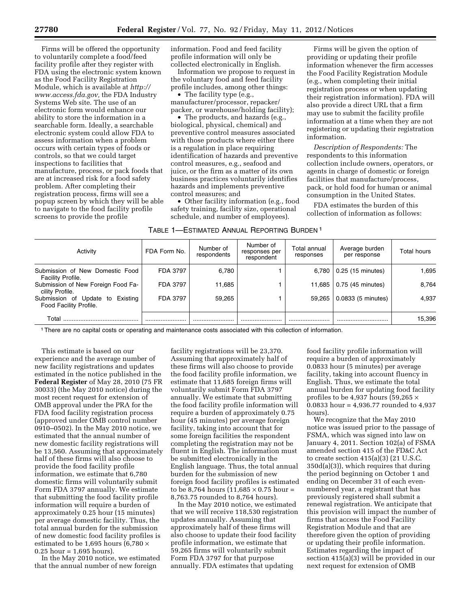Firms will be offered the opportunity to voluntarily complete a food/feed facility profile after they register with FDA using the electronic system known as the Food Facility Registration Module, which is available at *[http://](http://www.access.fda.gov)  [www.access.fda.gov,](http://www.access.fda.gov)* the FDA Industry Systems Web site. The use of an electronic form would enhance our ability to store the information in a searchable form. Ideally, a searchable electronic system could allow FDA to assess information when a problem occurs with certain types of foods or controls, so that we could target inspections to facilities that manufacture, process, or pack foods that are at increased risk for a food safety problem. After completing their registration process, firms will see a popup screen by which they will be able to navigate to the food facility profile screens to provide the profile

information. Food and feed facility profile information will only be collected electronically in English.

Information we propose to request in the voluntary food and feed facility profile includes, among other things:

• The facility type (e.g., manufacturer/processor, repacker/ packer, or warehouse/holding facility);

• The products, and hazards (e.g., biological, physical, chemical) and preventive control measures associated with those products where either there is a regulation in place requiring identification of hazards and preventive control measures, e.g., seafood and juice, or the firm as a matter of its own business practices voluntarily identifies hazards and implements preventive control measures; and

• Other facility information (e.g., food safety training, facility size, operational schedule, and number of employees).

Firms will be given the option of providing or updating their profile information whenever the firm accesses the Food Facility Registration Module (e.g., when completing their initial registration process or when updating their registration information). FDA will also provide a direct URL that a firm may use to submit the facility profile information at a time when they are not registering or updating their registration information.

*Description of Respondents:* The respondents to this information collection include owners, operators, or agents in charge of domestic or foreign facilities that manufacture/process, pack, or hold food for human or animal consumption in the United States.

FDA estimates the burden of this collection of information as follows:

| TABLE 1—ESTIMATED ANNUAL REPORTING BURDEN 1 |  |
|---------------------------------------------|--|
|---------------------------------------------|--|

| Activity                                                      | FDA Form No. | Number of<br>respondents | Number of<br>responses per<br>respondent | Total annual<br>responses | Average burden<br>per response | Total hours |
|---------------------------------------------------------------|--------------|--------------------------|------------------------------------------|---------------------------|--------------------------------|-------------|
| Submission of New Domestic Food<br>Facility Profile.          | FDA 3797     | 6,780                    |                                          | 6.780                     | 0.25 (15 minutes)              | 1.695       |
| Submission of New Foreign Food Fa-<br>cility Profile.         | FDA 3797     | 11.685                   |                                          | 11.685                    | 0.75 (45 minutes)              | 8.764       |
| Submission of Update to<br>Existina<br>Food Facility Profile. | FDA 3797     | 59.265                   |                                          | 59.265                    | 0.0833 (5 minutes)             | 4.937       |
| Total                                                         |              |                          |                                          |                           |                                | 15,396      |

1There are no capital costs or operating and maintenance costs associated with this collection of information.

This estimate is based on our experience and the average number of new facility registrations and updates estimated in the notice published in the **Federal Register** of May 28, 2010 (75 FR 30033) (the May 2010 notice) during the most recent request for extension of OMB approval under the PRA for the FDA food facility registration process (approved under OMB control number 0910–0502). In the May 2010 notice, we estimated that the annual number of new domestic facility registrations will be 13,560. Assuming that approximately half of these firms will also choose to provide the food facility profile information, we estimate that 6,780 domestic firms will voluntarily submit Form FDA 3797 annually. We estimate that submitting the food facility profile information will require a burden of approximately 0.25 hour (15 minutes) per average domestic facility. Thus, the total annual burden for the submission of new domestic food facility profiles is estimated to be 1,695 hours (6,780  $\times$  $0.25$  hour = 1,695 hours).

In the May 2010 notice, we estimated that the annual number of new foreign

facility registrations will be 23,370. Assuming that approximately half of these firms will also choose to provide the food facility profile information, we estimate that 11,685 foreign firms will voluntarily submit Form FDA 3797 annually. We estimate that submitting the food facility profile information will require a burden of approximately 0.75 hour (45 minutes) per average foreign facility, taking into account that for some foreign facilities the respondent completing the registration may not be fluent in English. The information must be submitted electronically in the English language. Thus, the total annual burden for the submission of new foreign food facility profiles is estimated to be 8,764 hours  $(11,685 \times 0.75)$  hour = 8,763.75 rounded to 8,764 hours).

In the May 2010 notice, we estimated that we will receive 118,530 registration updates annually. Assuming that approximately half of these firms will also choose to update their food facility profile information, we estimate that 59,265 firms will voluntarily submit Form FDA 3797 for that purpose annually. FDA estimates that updating

food facility profile information will require a burden of approximately 0.0833 hour (5 minutes) per average facility, taking into account fluency in English. Thus, we estimate the total annual burden for updating food facility profiles to be 4,937 hours (59,265  $\times$ 0.0833 hour = 4,936.77 rounded to 4,937 hours).

We recognize that the May 2010 notice was issued prior to the passage of FSMA, which was signed into law on January 4, 2011. Section 102(a) of FSMA amended section 415 of the FD&C Act to create section 415(a)(3) (21 U.S.C. 350d(a)(3)), which requires that during the period beginning on October 1 and ending on December 31 of each evennumbered year, a registrant that has previously registered shall submit a renewal registration. We anticipate that this provision will impact the number of firms that access the Food Facility Registration Module and that are therefore given the option of providing or updating their profile information. Estimates regarding the impact of section 415(a)(3) will be provided in our next request for extension of OMB